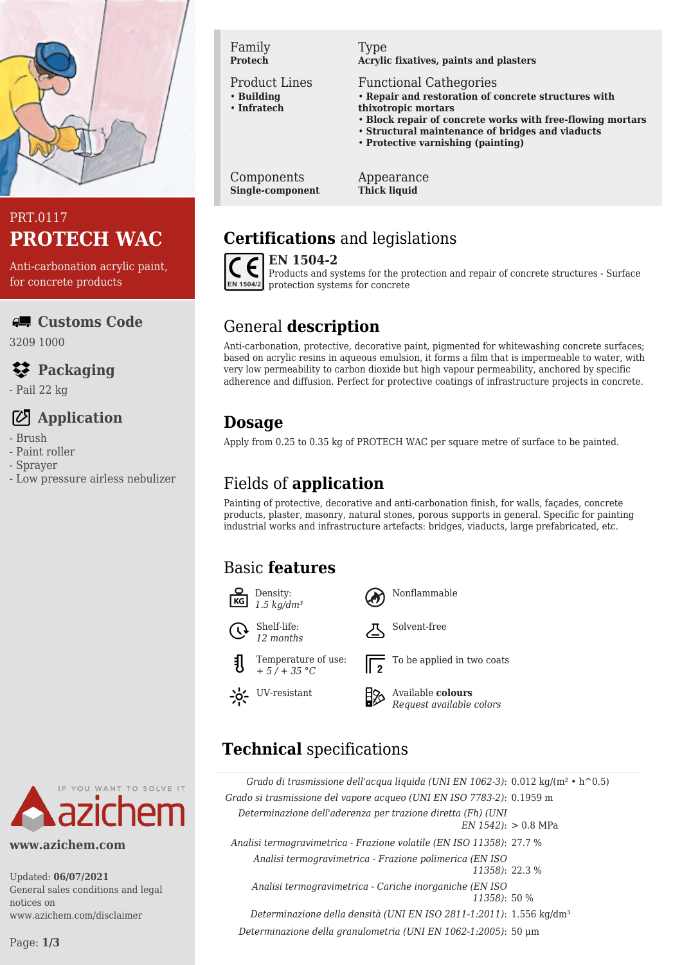

## PRT.0117 **PROTECH WAC**

Anti-carbonation acrylic paint, for concrete products

**Customs Code**

3209 1000

# **Packaging**

- Pail 22 kg

# **Application**

- Brush
- Paint roller
- Sprayer
- Low pressure airless nebulizer



**www.azichem.com**

Updated: **06/07/2021** General sales conditions and legal notices on www.azichem.com/disclaimer

Family **Protech**

#### Product Lines

- **Building** • **Infratech**
- 

#### Type **Acrylic fixatives, paints and plasters**

Functional Cathegories

- **Repair and restoration of concrete structures with thixotropic mortars**
- **Block repair of concrete works with free-flowing mortars**
- **Structural maintenance of bridges and viaducts**
- **Protective varnishing (painting)**

Components **Single-component** Appearance **Thick liquid**

# **Certifications** and legislations



**EN 1504-2** Products and systems for the protection and repair of concrete structures - Surface protection systems for concrete

# General **description**

Anti-carbonation, protective, decorative paint, pigmented for whitewashing concrete surfaces; based on acrylic resins in aqueous emulsion, it forms a film that is impermeable to water, with very low permeability to carbon dioxide but high vapour permeability, anchored by specific adherence and diffusion. Perfect for protective coatings of infrastructure projects in concrete.

# **Dosage**

Apply from 0.25 to 0.35 kg of PROTECH WAC per square metre of surface to be painted.

# Fields of **application**

Painting of protective, decorative and anti-carbonation finish, for walls, façades, concrete products, plaster, masonry, natural stones, porous supports in general. Specific for painting industrial works and infrastructure artefacts: bridges, viaducts, large prefabricated, etc.

# Basic **features**

 $KG$ 

 $-6 -$ 



# **Technical** specifications

|                       | Grado di trasmissione dell'acqua liquida (UNI EN 1062-3): 0.012 kg/(m <sup>2</sup> • h <sup><math>\sim</math></sup> 0.5) |
|-----------------------|--------------------------------------------------------------------------------------------------------------------------|
|                       | Grado si trasmissione del vapore acqueo (UNI EN ISO 7783-2): 0.1959 m                                                    |
| $EN 1542$ : > 0.8 MPa | Determinazione dell'aderenza per trazione diretta (Fh) (UNI                                                              |
|                       | Analisi termogravimetrica - Frazione volatile (EN ISO 11358): 27.7 %                                                     |
| 11358): 22.3 %        | Analisi termogravimetrica - Frazione polimerica (EN ISO)                                                                 |
|                       | Analisi termogravimetrica - Cariche inorganiche (EN ISO)<br>11358): 50 %                                                 |
|                       | Determinazione della densità (UNI EN ISO 2811-1:2011): 1.556 kg/dm <sup>3</sup>                                          |
|                       | Determinazione della granulometria (UNI EN 1062-1:2005): 50 µm                                                           |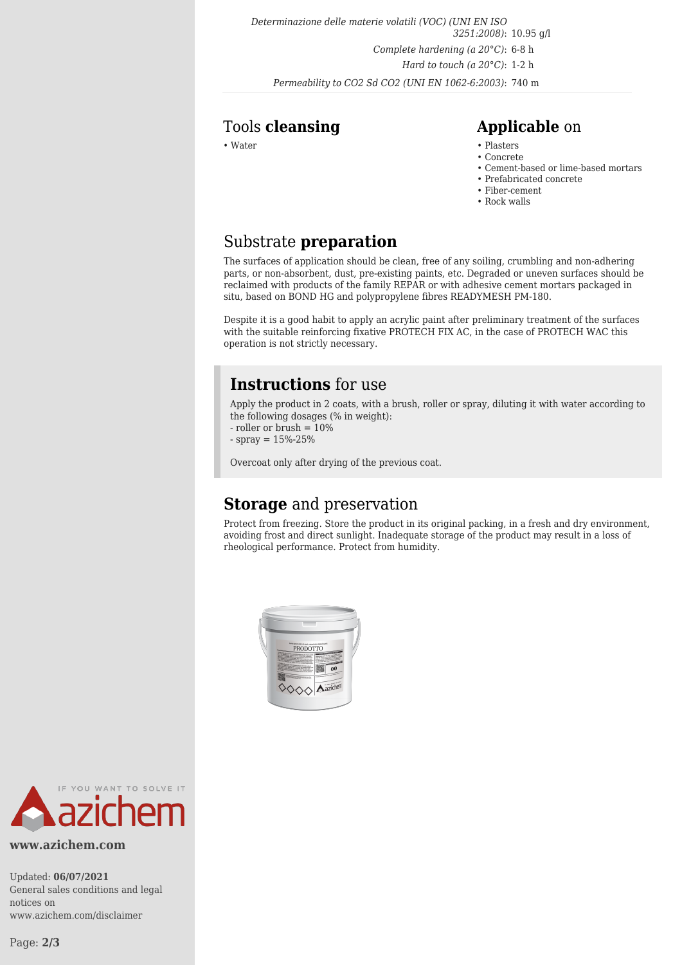*Determinazione delle materie volatili (VOC) (UNI EN ISO 3251:2008)*: 10.95 g/l *Complete hardening (a 20°C)*: 6-8 h *Hard to touch (a 20°C)*: 1-2 h *Permeability to CO2 Sd CO2 (UNI EN 1062-6:2003)*: 740 m

### Tools **cleansing Applicable** on

- Water Plasters Plasters Plasters Plasters Plasters Plasters Plasters Plasters Plasters Plasters Plasters Plasters Plasters Plasters Plasters Plasters Plasters Plasters Plasters Pla
	- Concrete
	- Cement-based or lime-based mortars
	- Prefabricated concrete
	- Fiber-cement • Rock walls

# Substrate **preparation**

The surfaces of application should be clean, free of any soiling, crumbling and non-adhering parts, or non-absorbent, dust, pre-existing paints, etc. Degraded or uneven surfaces should be reclaimed with products of the family REPAR or with adhesive cement mortars packaged in situ, based on BOND HG and polypropylene fibres READYMESH PM-180.

Despite it is a good habit to apply an acrylic paint after preliminary treatment of the surfaces with the suitable reinforcing fixative PROTECH FIX AC, in the case of PROTECH WAC this operation is not strictly necessary.

## **Instructions** for use

Apply the product in 2 coats, with a brush, roller or spray, diluting it with water according to the following dosages (% in weight):

- roller or brush = 10%
- $-$  spray =  $15% 25%$

Overcoat only after drying of the previous coat.

## **Storage** and preservation

Protect from freezing. Store the product in its original packing, in a fresh and dry environment, avoiding frost and direct sunlight. Inadequate storage of the product may result in a loss of rheological performance. Protect from humidity.





#### **www.azichem.com**

Updated: **06/07/2021** General sales conditions and legal notices on www.azichem.com/disclaimer